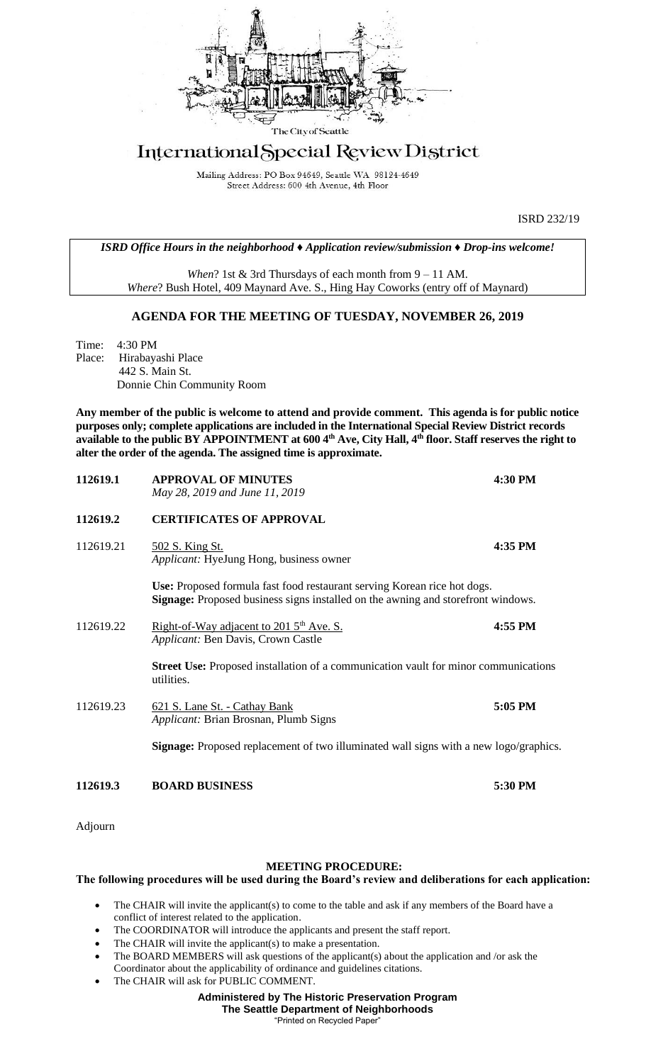

## International Special Review District

Mailing Address: PO Box 94649, Seattle WA 98124-4649 Street Address: 600 4th Avenue, 4th Floor

ISRD 232/19

*ISRD Office Hours in the neighborhood ♦ Application review/submission ♦ Drop-ins welcome!*

*When*? 1st & 3rd Thursdays of each month from 9 – 11 AM. *Where*? Bush Hotel, 409 Maynard Ave. S., Hing Hay Coworks (entry off of Maynard)

## **AGENDA FOR THE MEETING OF TUESDAY, NOVEMBER 26, 2019**

Time: 4:30 PM Place: Hirabayashi Place 442 S. Main St. Donnie Chin Community Room

**Any member of the public is welcome to attend and provide comment. This agenda is for public notice purposes only; complete applications are included in the International Special Review District records available to the public BY APPOINTMENT at 600 4th Ave, City Hall, 4th floor. Staff reserves the right to alter the order of the agenda. The assigned time is approximate.** 

| 112619.3  | <b>BOARD BUSINESS</b>                                                                                                                                               | 5:30 PM |
|-----------|---------------------------------------------------------------------------------------------------------------------------------------------------------------------|---------|
|           | <b>Signage:</b> Proposed replacement of two illuminated wall signs with a new logo/graphics.                                                                        |         |
| 112619.23 | 621 S. Lane St. - Cathay Bank<br>Applicant: Brian Brosnan, Plumb Signs                                                                                              | 5:05 PM |
|           | <b>Street Use:</b> Proposed installation of a communication vault for minor communications<br>utilities.                                                            |         |
| 112619.22 | Right-of-Way adjacent to 201 5 <sup>th</sup> Ave. S.<br><i>Applicant:</i> Ben Davis, Crown Castle                                                                   | 4:55 PM |
|           | Use: Proposed formula fast food restaurant serving Korean rice hot dogs.<br><b>Signage:</b> Proposed business signs installed on the awning and storefront windows. |         |
| 112619.21 | 502 S. King St.<br>Applicant: HyeJung Hong, business owner                                                                                                          | 4:35 PM |
| 112619.2  | <b>CERTIFICATES OF APPROVAL</b>                                                                                                                                     |         |
| 112619.1  | <b>APPROVAL OF MINUTES</b><br>May 28, 2019 and June 11, 2019                                                                                                        | 4:30 PM |

Adjourn

## **MEETING PROCEDURE:**

## **The following procedures will be used during the Board's review and deliberations for each application:**

- The CHAIR will invite the applicant(s) to come to the table and ask if any members of the Board have a conflict of interest related to the application.
- The COORDINATOR will introduce the applicants and present the staff report.
- The CHAIR will invite the applicant(s) to make a presentation.
- The BOARD MEMBERS will ask questions of the applicant(s) about the application and /or ask the Coordinator about the applicability of ordinance and guidelines citations.
- The CHAIR will ask for PUBLIC COMMENT.

**Administered by The Historic Preservation Program The Seattle Department of Neighborhoods**

"Printed on Recycled Paper"